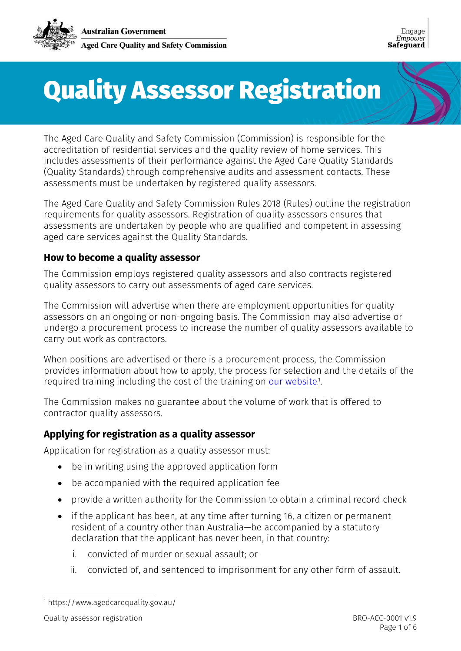

Engage Empower **Safeguard** 

# Quality Assessor Registration

The Aged Care Quality and Safety Commission (Commission) is responsible for the accreditation of residential services and the quality review of home services. This includes assessments of their performance against the Aged Care Quality Standards (Quality Standards) through comprehensive audits and assessment contacts. These assessments must be undertaken by registered quality assessors.

The Aged Care Quality and Safety Commission Rules 2018 (Rules) outline the registration requirements for quality assessors. Registration of quality assessors ensures that assessments are undertaken by people who are qualified and competent in assessing aged care services against the Quality Standards.

#### **How to become a quality assessor**

The Commission employs registered quality assessors and also contracts registered quality assessors to carry out assessments of aged care services.

The Commission will advertise when there are employment opportunities for quality assessors on an ongoing or non-ongoing basis. The Commission may also advertise or undergo a procurement process to increase the number of quality assessors available to carry out work as contractors.

When positions are advertised or there is a procurement process, the Commission provides information about how to apply, the process for selection and the details of the required training including the cost of the training on <u>our website</u>.1

The Commission makes no guarantee about the volume of work that is offered to contractor quality assessors.

#### **Applying for registration as a quality assessor**

Application for registration as a quality assessor must:

- be in writing using the approved application form
- be accompanied with the required application fee
- provide a written authority for the Commission to obtain a criminal record check
- if the applicant has been, at any time after turning 16, a citizen or permanent resident of a country other than Australia—be accompanied by a statutory declaration that the applicant has never been, in that country:
	- i. convicted of murder or sexual assault; or
	- ii. convicted of, and sentenced to imprisonment for any other form of assault.

-

<sup>1</sup> https://www.agedcarequality.gov.au/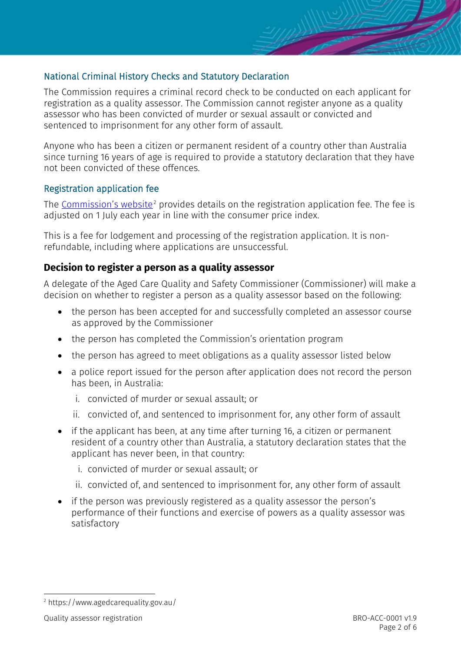## National Criminal History Checks and Statutory Declaration

The Commission requires a criminal record check to be conducted on each applicant for registration as a quality assessor. The Commission cannot register anyone as a quality assessor who has been convicted of murder or sexual assault or convicted and sentenced to imprisonment for any other form of assault.

Anyone who has been a citizen or permanent resident of a country other than Australia since turning 16 years of age is required to provide a statutory declaration that they have not been convicted of these offences.

#### Registration application fee

The <u>Commission's website</u><sup>2</sup> provides details on the registration application fee. The fee is adjusted on 1 July each year in line with the consumer price index.

This is a fee for lodgement and processing of the registration application. It is nonrefundable, including where applications are unsuccessful.

#### **Decision to register a person as a quality assessor**

A delegate of the Aged Care Quality and Safety Commissioner (Commissioner) will make a decision on whether to register a person as a quality assessor based on the following:

- the person has been accepted for and successfully completed an assessor course as approved by the Commissioner
- the person has completed the Commission's orientation program
- the person has agreed to meet obligations as a quality assessor listed below
- a police report issued for the person after application does not record the person has been, in Australia:
	- i. convicted of murder or sexual assault; or
	- ii. convicted of, and sentenced to imprisonment for, any other form of assault
- if the applicant has been, at any time after turning 16, a citizen or permanent resident of a country other than Australia, a statutory declaration states that the applicant has never been, in that country:
	- i. convicted of murder or sexual assault; or
	- ii. convicted of, and sentenced to imprisonment for, any other form of assault
- if the person was previously registered as a quality assessor the person's performance of their functions and exercise of powers as a quality assessor was satisfactory

<sup>-</sup><sup>2</sup> https://www.agedcarequality.gov.au/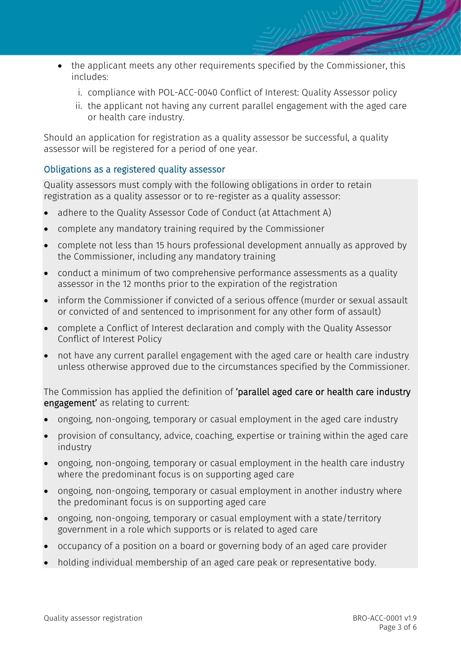- the applicant meets any other requirements specified by the Commissioner, this includes:
	- i. compliance with POL-ACC-0040 Conflict of Interest: Quality Assessor policy
	- ii. the applicant not having any current parallel engagement with the aged care or health care industry.

Should an application for registration as a quality assessor be successful, a quality assessor will be registered for a period of one year.

#### Obligations as a registered quality assessor

Quality assessors must comply with the following obligations in order to retain registration as a quality assessor or to re-register as a quality assessor:

- adhere to the Quality Assessor Code of Conduct (at Attachment A)
- complete any mandatory training required by the Commissioner
- complete not less than 15 hours professional development annually as approved by the Commissioner, including any mandatory training
- conduct a minimum of two comprehensive performance assessments as a quality assessor in the 12 months prior to the expiration of the registration
- inform the Commissioner if convicted of a serious offence (murder or sexual assault or convicted of and sentenced to imprisonment for any other form of assault)
- complete a Conflict of Interest declaration and comply with the Quality Assessor Conflict of Interest Policy
- not have any current parallel engagement with the aged care or health care industry unless otherwise approved due to the circumstances specified by the Commissioner.

The Commission has applied the definition of 'parallel aged care or health care industry engagement' as relating to current:

- ongoing, non-ongoing, temporary or casual employment in the aged care industry
- provision of consultancy, advice, coaching, expertise or training within the aged care industry
- ongoing, non-ongoing, temporary or casual employment in the health care industry where the predominant focus is on supporting aged care
- ongoing, non-ongoing, temporary or casual employment in another industry where the predominant focus is on supporting aged care
- ongoing, non-ongoing, temporary or casual employment with a state/territory government in a role which supports or is related to aged care
- occupancy of a position on a board or governing body of an aged care provider
- holding individual membership of an aged care peak or representative body.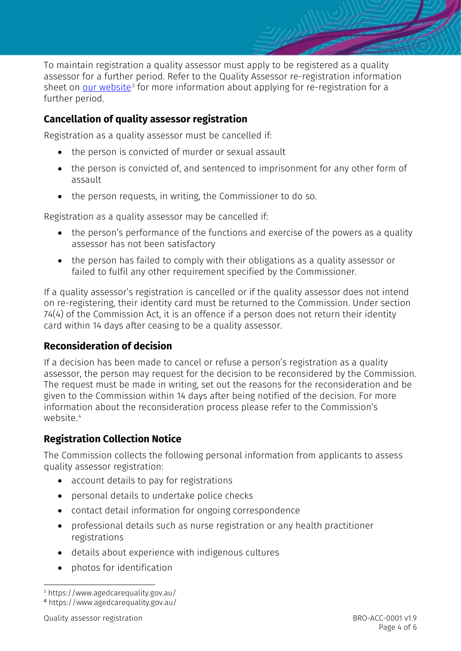

To maintain registration a quality assessor must apply to be registered as a quality assessor for a further period. Refer to the Quality Assessor re-registration information sheet on <u>our website</u>.<sup>3</sup> for more information about applying for re-registration for a further period.

## **Cancellation of quality assessor registration**

Registration as a quality assessor must be cancelled if:

- the person is convicted of murder or sexual assault
- the person is convicted of, and sentenced to imprisonment for any other form of assault
- the person requests, in writing, the Commissioner to do so.

Registration as a quality assessor may be cancelled if:

- the person's performance of the functions and exercise of the powers as a quality assessor has not been satisfactory
- the person has failed to comply with their obligations as a quality assessor or failed to fulfil any other requirement specified by the Commissioner.

If a quality assessor's registration is cancelled or if the quality assessor does not intend on re-registering, their identity card must be returned to the Commission. Under section 74(4) of the Commission Act, it is an offence if a person does not return their identity card within 14 days after ceasing to be a quality assessor.

## **Reconsideration of decision**

If a decision has been made to cancel or refuse a person's registration as a quality assessor, the person may request for the decision to be reconsidered by the Commission. The request must be made in writing, set out the reasons for the reconsideration and be given to the Commission within 14 days after being notified of the decision. For more information about the reconsideration process please refer to the Commission's website.<sup>4</sup>

## **Registration Collection Notice**

The Commission collects the following personal information from applicants to assess quality assessor registration:

- account details to pay for registrations
- personal details to undertake police checks
- contact detail information for ongoing correspondence
- professional details such as nurse registration or any health practitioner registrations
- details about experience with indigenous cultures
- photos for identification

<sup>-</sup><sup>3</sup> https://www.agedcarequality.gov.au/

<sup>4</sup> https://www.agedcarequality.gov.au/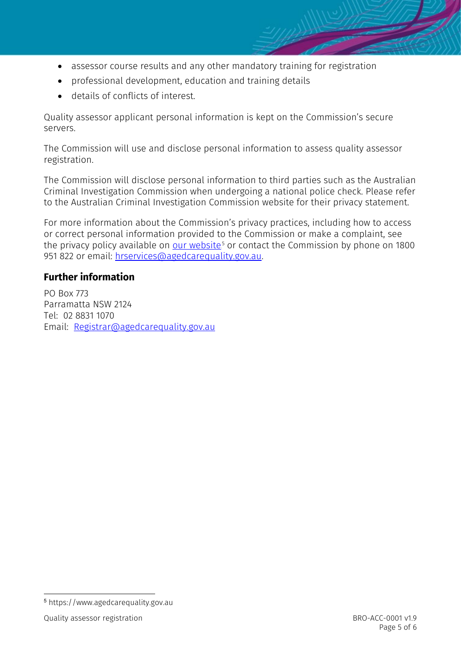- 
- assessor course results and any other mandatory training for registration
- professional development, education and training details
- details of conflicts of interest.

Quality assessor applicant personal information is kept on the Commission's secure servers.

The Commission will use and disclose personal information to assess quality assessor registration.

The Commission will disclose personal information to third parties such as the Australian Criminal Investigation Commission when undergoing a national police check. Please refer to the Australian Criminal Investigation Commission website for their privacy statement.

For more information about the Commission's privacy practices, including how to access or correct personal information provided to the Commission or make a complaint, see the privacy policy available on <u>our website</u><sup>5</sup> or contact the Commission by phone on 1800 951 822 or email: [hrservices@agedcarequality.gov.au.](mailto:hrservices@agedcarequality.gov.au)

## **Further information**

PO Box 773 Parramatta NSW 2124 Tel: 02 8831 1070 Email: [Registrar@agedcarequality.gov.au](mailto:Registrar@agedcarequality.gov.au)

 <sup>5</sup> https://www.agedcarequality.gov.au